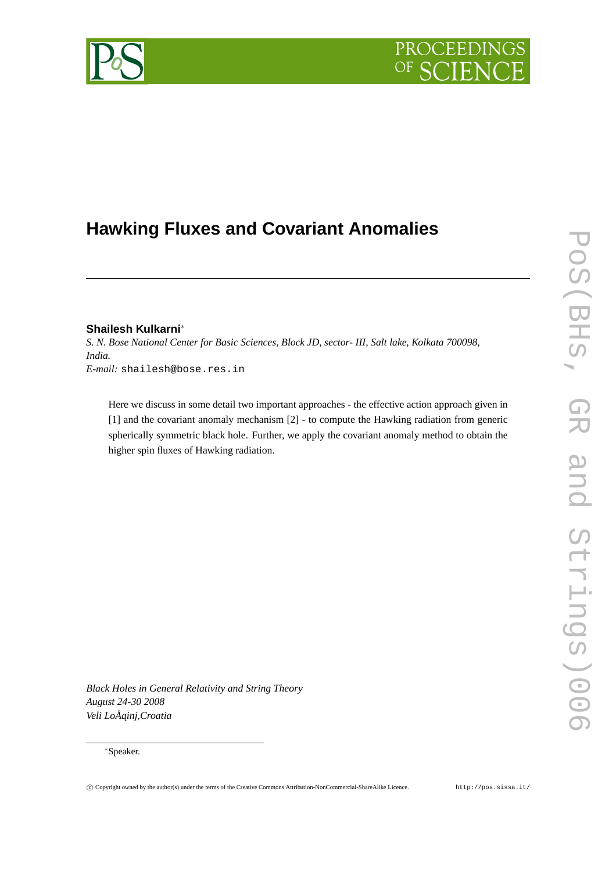# PROCEEDIN

## **Hawking Fluxes and Covariant Anomalies**

### **Shailesh Kulkarni**∗

*S. N. Bose National Center for Basic Sciences, Block JD, sector- III, Salt lake, Kolkata 700098, India. E-mail:* shailesh@bose.res.in

Here we discuss in some detail two important approaches - the effective action approach given in [1] and the covariant anomaly mechanism [2] - to compute the Hawking radiation from generic spherically symmetric black hole. Further, we apply the covariant anomaly method to obtain the higher spin fluxes of Hawking radiation.

*Black Holes in General Relativity and String Theory August 24-30 2008 Veli LoÅ ˛ainj,Croatia*

#### ∗Speaker.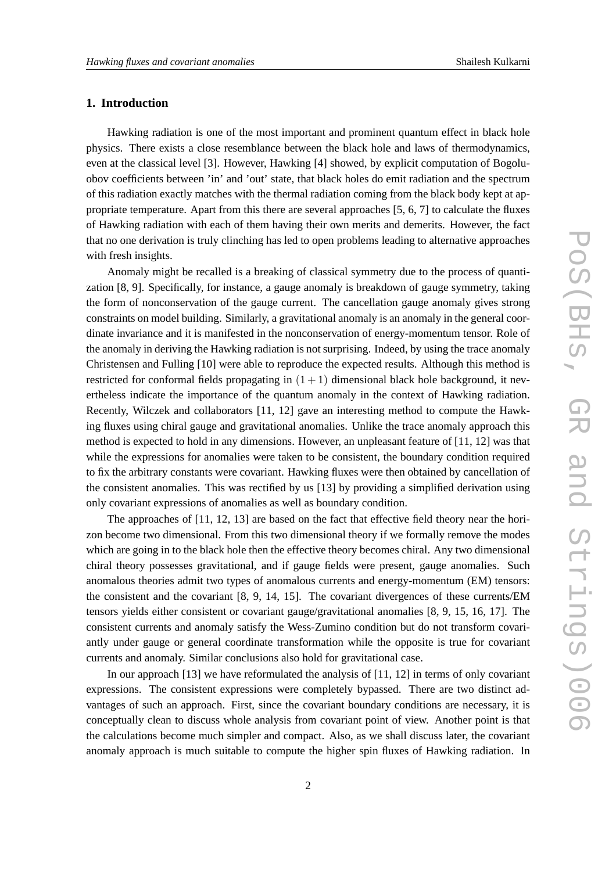#### **1. Introduction**

Hawking radiation is one of the most important and prominent quantum effect in black hole physics. There exists a close resemblance between the black hole and laws of thermodynamics, even at the classical level [3]. However, Hawking [4] showed, by explicit computation of Bogoluobov coefficients between 'in' and 'out' state, that black holes do emit radiation and the spectrum of this radiation exactly matches with the thermal radiation coming from the black body kept at appropriate temperature. Apart from this there are several approaches [5, 6, 7] to calculate the fluxes of Hawking radiation with each of them having their own merits and demerits. However, the fact that no one derivation is truly clinching has led to open problems leading to alternative approaches with fresh insights.

Anomaly might be recalled is a breaking of classical symmetry due to the process of quantization [8, 9]. Specifically, for instance, a gauge anomaly is breakdown of gauge symmetry, taking the form of nonconservation of the gauge current. The cancellation gauge anomaly gives strong constraints on model building. Similarly, a gravitational anomaly is an anomaly in the general coordinate invariance and it is manifested in the nonconservation of energy-momentum tensor. Role of the anomaly in deriving the Hawking radiation is not surprising. Indeed, by using the trace anomaly Christensen and Fulling [10] were able to reproduce the expected results. Although this method is restricted for conformal fields propagating in  $(1 + 1)$  dimensional black hole background, it nevertheless indicate the importance of the quantum anomaly in the context of Hawking radiation. Recently, Wilczek and collaborators [11, 12] gave an interesting method to compute the Hawking fluxes using chiral gauge and gravitational anomalies. Unlike the trace anomaly approach this method is expected to hold in any dimensions. However, an unpleasant feature of [11, 12] was that while the expressions for anomalies were taken to be consistent, the boundary condition required to fix the arbitrary constants were covariant. Hawking fluxes were then obtained by cancellation of the consistent anomalies. This was rectified by us [13] by providing a simplified derivation using only covariant expressions of anomalies as well as boundary condition.

The approaches of [11, 12, 13] are based on the fact that effective field theory near the horizon become two dimensional. From this two dimensional theory if we formally remove the modes which are going in to the black hole then the effective theory becomes chiral. Any two dimensional chiral theory possesses gravitational, and if gauge fields were present, gauge anomalies. Such anomalous theories admit two types of anomalous currents and energy-momentum (EM) tensors: the consistent and the covariant [8, 9, 14, 15]. The covariant divergences of these currents/EM tensors yields either consistent or covariant gauge/gravitational anomalies [8, 9, 15, 16, 17]. The consistent currents and anomaly satisfy the Wess-Zumino condition but do not transform covariantly under gauge or general coordinate transformation while the opposite is true for covariant currents and anomaly. Similar conclusions also hold for gravitational case.

In our approach [13] we have reformulated the analysis of [11, 12] in terms of only covariant expressions. The consistent expressions were completely bypassed. There are two distinct advantages of such an approach. First, since the covariant boundary conditions are necessary, it is conceptually clean to discuss whole analysis from covariant point of view. Another point is that the calculations become much simpler and compact. Also, as we shall discuss later, the covariant anomaly approach is much suitable to compute the higher spin fluxes of Hawking radiation. In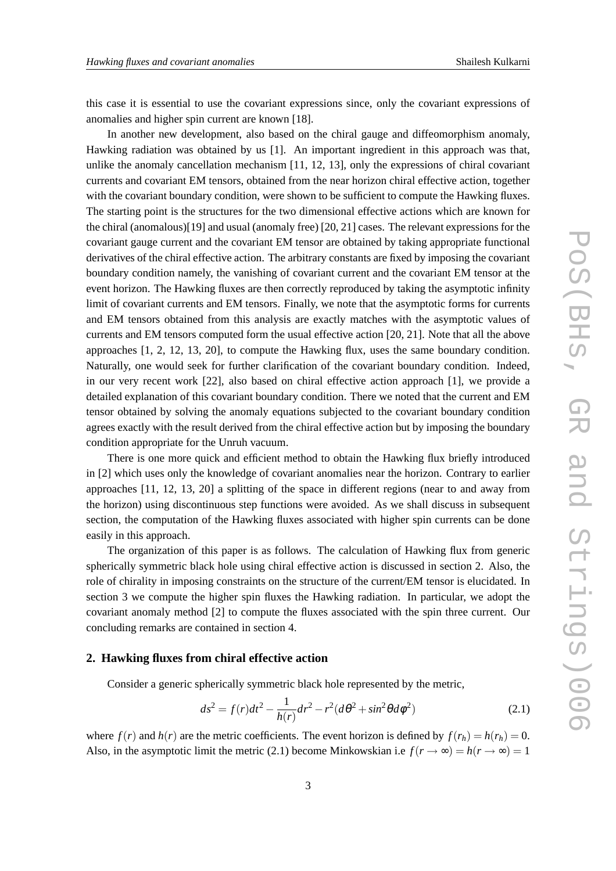this case it is essential to use the covariant expressions since, only the covariant expressions of anomalies and higher spin current are known [18].

In another new development, also based on the chiral gauge and diffeomorphism anomaly, Hawking radiation was obtained by us [1]. An important ingredient in this approach was that, unlike the anomaly cancellation mechanism [11, 12, 13], only the expressions of chiral covariant currents and covariant EM tensors, obtained from the near horizon chiral effective action, together with the covariant boundary condition, were shown to be sufficient to compute the Hawking fluxes. The starting point is the structures for the two dimensional effective actions which are known for the chiral (anomalous)[19] and usual (anomaly free) [20, 21] cases. The relevant expressions for the covariant gauge current and the covariant EM tensor are obtained by taking appropriate functional derivatives of the chiral effective action. The arbitrary constants are fixed by imposing the covariant boundary condition namely, the vanishing of covariant current and the covariant EM tensor at the event horizon. The Hawking fluxes are then correctly reproduced by taking the asymptotic infinity limit of covariant currents and EM tensors. Finally, we note that the asymptotic forms for currents and EM tensors obtained from this analysis are exactly matches with the asymptotic values of currents and EM tensors computed form the usual effective action [20, 21]. Note that all the above approaches [1, 2, 12, 13, 20], to compute the Hawking flux, uses the same boundary condition. Naturally, one would seek for further clarification of the covariant boundary condition. Indeed, in our very recent work [22], also based on chiral effective action approach [1], we provide a detailed explanation of this covariant boundary condition. There we noted that the current and EM tensor obtained by solving the anomaly equations subjected to the covariant boundary condition agrees exactly with the result derived from the chiral effective action but by imposing the boundary condition appropriate for the Unruh vacuum.

There is one more quick and efficient method to obtain the Hawking flux briefly introduced in [2] which uses only the knowledge of covariant anomalies near the horizon. Contrary to earlier approaches [11, 12, 13, 20] a splitting of the space in different regions (near to and away from the horizon) using discontinuous step functions were avoided. As we shall discuss in subsequent section, the computation of the Hawking fluxes associated with higher spin currents can be done easily in this approach.

The organization of this paper is as follows. The calculation of Hawking flux from generic spherically symmetric black hole using chiral effective action is discussed in section 2. Also, the role of chirality in imposing constraints on the structure of the current/EM tensor is elucidated. In section 3 we compute the higher spin fluxes the Hawking radiation. In particular, we adopt the covariant anomaly method [2] to compute the fluxes associated with the spin three current. Our concluding remarks are contained in section 4.

#### **2. Hawking fluxes from chiral effective action**

Consider a generic spherically symmetric black hole represented by the metric,

$$
ds^{2} = f(r)dt^{2} - \frac{1}{h(r)}dr^{2} - r^{2}(d\theta^{2} + \sin^{2}\theta d\phi^{2})
$$
 (2.1)

where  $f(r)$  and  $h(r)$  are the metric coefficients. The event horizon is defined by  $f(r_h) = h(r_h) = 0$ . Also, in the asymptotic limit the metric (2.1) become Minkowskian i.e  $f(r \to \infty) = h(r \to \infty) = 1$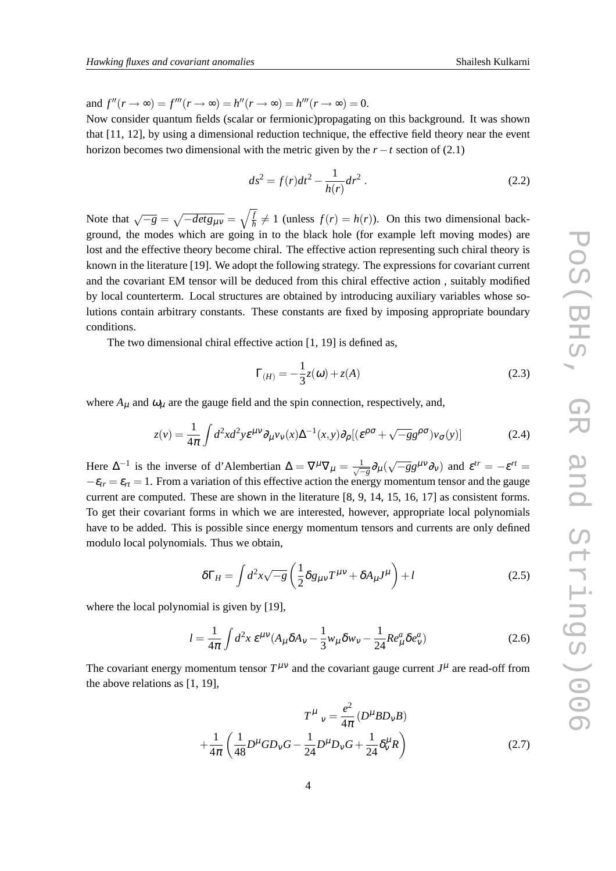and  $f''(r \to \infty) = f'''(r \to \infty) = h''(r \to \infty) = h'''(r \to \infty) = 0.$ 

Now consider quantum fields (scalar or fermionic)propagating on this background. It was shown that [11, 12], by using a dimensional reduction technique, the effective field theory near the event horizon becomes two dimensional with the metric given by the  $r - t$  section of (2.1)

$$
ds^2 = f(r)dt^2 - \frac{1}{h(r)}dr^2.
$$
 (2.2)

Note that  $\sqrt{-g} = \sqrt{-det g_{\mu\nu}} = \sqrt{\frac{f}{h}} \neq 1$  (unless  $f(r) = h(r)$ ). On this two dimensional background, the modes which are going in to the black hole (for example left moving modes) are lost and the effective theory become chiral. The effective action representing such chiral theory is known in the literature [19]. We adopt the following strategy. The expressions for covariant current and the covariant EM tensor will be deduced from this chiral effective action , suitably modified by local counterterm. Local structures are obtained by introducing auxiliary variables whose solutions contain arbitrary constants. These constants are fixed by imposing appropriate boundary conditions.

The two dimensional chiral effective action [1, 19] is defined as,

$$
\Gamma_{(H)} = -\frac{1}{3}z(\omega) + z(A)
$$
\n(2.3)

where  $A_{\mu}$  and  $\omega_{\mu}$  are the gauge field and the spin connection, respectively, and,

$$
z(v) = \frac{1}{4\pi} \int d^2x d^2y \varepsilon^{\mu\nu} \partial_\mu v_\nu(x) \Delta^{-1}(x, y) \partial_\rho [(\varepsilon^{\rho\sigma} + \sqrt{-g}g^{\rho\sigma}) v_\sigma(y)] \tag{2.4}
$$

Here  $\Delta^{-1}$  is the inverse of d'Alembertian  $\Delta = \nabla^{\mu} \nabla_{\mu} = \frac{1}{\sqrt{2}}$  $\frac{1}{\sqrt{-g}}\partial_\mu(\sqrt{-g}g^{\mu\nu}\partial_\nu)$  and  $\varepsilon^{tr} = -\varepsilon^{rt} =$  $-\varepsilon_{tr} = \varepsilon_{rt} = 1$ . From a variation of this effective action the energy momentum tensor and the gauge current are computed. These are shown in the literature [8, 9, 14, 15, 16, 17] as consistent forms. To get their covariant forms in which we are interested, however, appropriate local polynomials have to be added. This is possible since energy momentum tensors and currents are only defined modulo local polynomials. Thus we obtain,

$$
\delta\Gamma_H = \int d^2x \sqrt{-g} \left(\frac{1}{2}\delta g_{\mu\nu}T^{\mu\nu} + \delta A_{\mu}J^{\mu}\right) + l \tag{2.5}
$$

where the local polynomial is given by [19],

$$
l = \frac{1}{4\pi} \int d^2x \, \varepsilon^{\mu\nu} (A_{\mu} \delta A_{\nu} - \frac{1}{3} w_{\mu} \delta w_{\nu} - \frac{1}{24} R e_{\mu}^a \delta e_{\nu}^a)
$$
 (2.6)

The covariant energy momentum tensor  $T^{\mu\nu}$  and the covariant gauge current  $J^{\mu}$  are read-off from the above relations as [1, 19],

$$
T^{\mu}{}_{\nu} = \frac{e^2}{4\pi} \left( D^{\mu} B D_{\nu} B \right)
$$

$$
+ \frac{1}{4\pi} \left( \frac{1}{48} D^{\mu} G D_{\nu} G - \frac{1}{24} D^{\mu} D_{\nu} G + \frac{1}{24} \delta^{\mu}_{\nu} R \right)
$$
(2.7)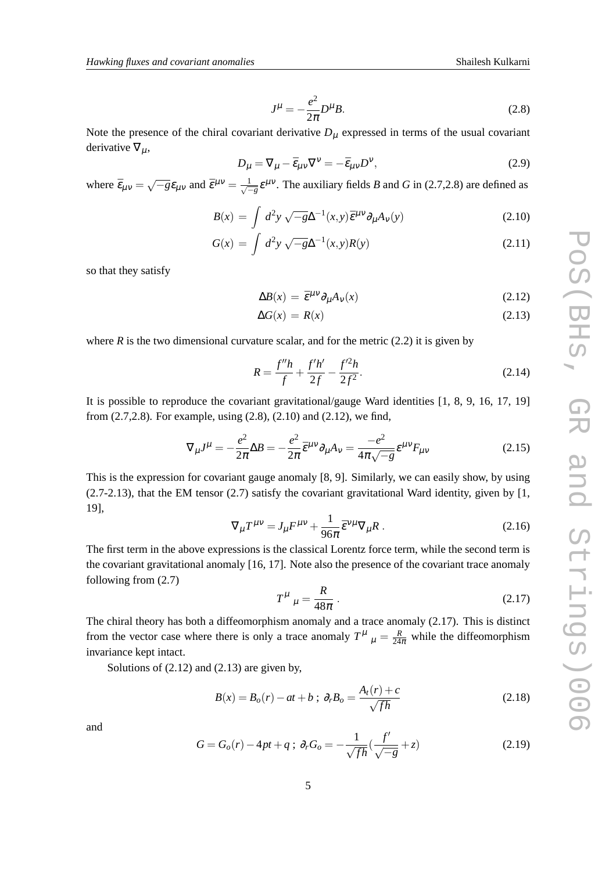$$
J^{\mu} = -\frac{e^2}{2\pi}D^{\mu}B.
$$
 (2.8)

Note the presence of the chiral covariant derivative  $D<sub>\mu</sub>$  expressed in terms of the usual covariant derivative  $\nabla_{\mu}$ ,

$$
D_{\mu} = \nabla_{\mu} - \bar{\varepsilon}_{\mu\nu} \nabla^{\nu} = -\bar{\varepsilon}_{\mu\nu} D^{\nu},\tag{2.9}
$$

where  $\bar{\varepsilon}_{\mu\nu} = \sqrt{-g} \varepsilon_{\mu\nu}$  and  $\bar{\varepsilon}^{\mu\nu} = \frac{1}{\sqrt{-g}}$  $\frac{1}{\sqrt{g}}\epsilon^{\mu\nu}$ . The auxiliary fields *B* and *G* in (2.7,2.8) are defined as

$$
B(x) = \int d^2y \sqrt{-g} \Delta^{-1}(x, y) \bar{\varepsilon}^{\mu\nu} \partial_{\mu} A_{\nu}(y)
$$
 (2.10)

$$
G(x) = \int d^2y \sqrt{-g} \Delta^{-1}(x, y) R(y)
$$
 (2.11)

so that they satisfy

$$
\Delta B(x) = \bar{\varepsilon}^{\mu\nu} \partial_{\mu} A_{\nu}(x) \tag{2.12}
$$

$$
\Delta G(x) = R(x) \tag{2.13}
$$

where  $R$  is the two dimensional curvature scalar, and for the metric  $(2.2)$  it is given by

$$
R = \frac{f''h}{f} + \frac{f'h'}{2f} - \frac{f'^{2}h}{2f^{2}}.
$$
\n(2.14)

It is possible to reproduce the covariant gravitational/gauge Ward identities [1, 8, 9, 16, 17, 19] from (2.7,2.8). For example, using (2.8), (2.10) and (2.12), we find,

$$
\nabla_{\mu}J^{\mu} = -\frac{e^2}{2\pi}\Delta B = -\frac{e^2}{2\pi}\bar{\varepsilon}^{\mu\nu}\partial_{\mu}A_{\nu} = \frac{-e^2}{4\pi\sqrt{-g}}\varepsilon^{\mu\nu}F_{\mu\nu}
$$
(2.15)

This is the expression for covariant gauge anomaly [8, 9]. Similarly, we can easily show, by using  $(2.7-2.13)$ , that the EM tensor  $(2.7)$  satisfy the covariant gravitational Ward identity, given by [1, 19],

$$
\nabla_{\mu}T^{\mu\nu} = J_{\mu}F^{\mu\nu} + \frac{1}{96\pi}\bar{\varepsilon}^{\nu\mu}\nabla_{\mu}R. \qquad (2.16)
$$

The first term in the above expressions is the classical Lorentz force term, while the second term is the covariant gravitational anomaly [16, 17]. Note also the presence of the covariant trace anomaly following from (2.7)

$$
T^{\mu}{}_{\mu} = \frac{R}{48\pi} \,. \tag{2.17}
$$

The chiral theory has both a diffeomorphism anomaly and a trace anomaly (2.17). This is distinct from the vector case where there is only a trace anomaly  $T^{\mu}{}_{\mu} = \frac{R}{24\pi}$  while the diffeomorphism invariance kept intact.

Solutions of (2.12) and (2.13) are given by,

$$
B(x) = B_o(r) - at + b \; ; \; \partial_r B_o = \frac{A_t(r) + c}{\sqrt{fh}} \tag{2.18}
$$

and

$$
G = G_o(r) - 4pt + q \; ; \; \partial_r G_o = -\frac{1}{\sqrt{fh}}(\frac{f'}{\sqrt{-g}} + z) \tag{2.19}
$$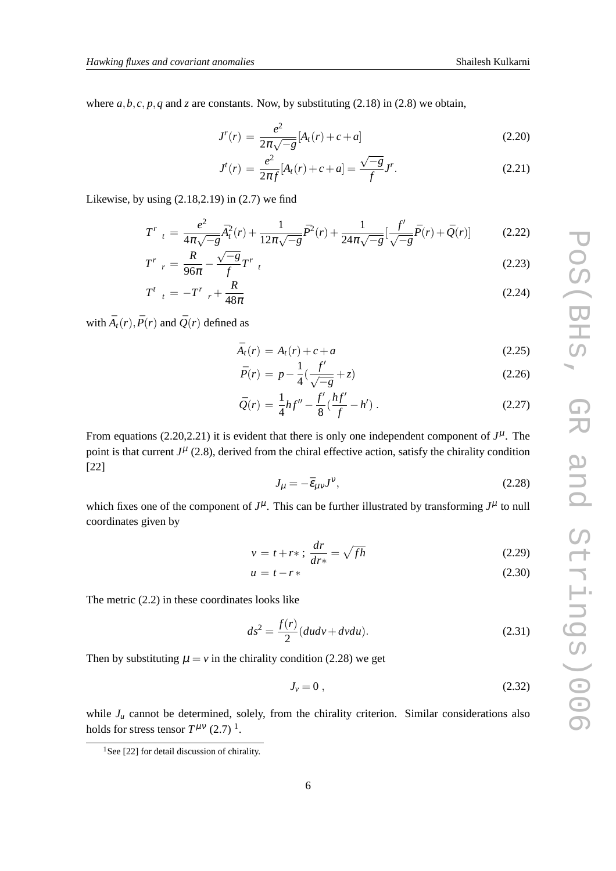where  $a, b, c, p, q$  and  $z$  are constants. Now, by substituting (2.18) in (2.8) we obtain,

$$
J^{r}(r) = \frac{e^{2}}{2\pi\sqrt{-g}}[A_{t}(r) + c + a]
$$
\n(2.20)

$$
J^{t}(r) = \frac{e^{2}}{2\pi f}[A_{t}(r) + c + a] = \frac{\sqrt{-g}}{f}J^{r}.
$$
 (2.21)

Likewise, by using (2.18,2.19) in (2.7) we find

$$
T^{r}{}_{t} = \frac{e^{2}}{4\pi\sqrt{-g}}\bar{A}_{t}^{2}(r) + \frac{1}{12\pi\sqrt{-g}}\bar{P}^{2}(r) + \frac{1}{24\pi\sqrt{-g}}\left[\frac{f'}{\sqrt{-g}}\bar{P}(r) + \bar{Q}(r)\right]
$$
(2.22)

$$
T^r \, r = \frac{R}{96\pi} - \frac{\sqrt{-g}}{f} T^r \, t \tag{2.23}
$$

$$
T^{t}{}_{t} = -T^{r}{}_{r} + \frac{R}{48\pi} \tag{2.24}
$$

with  $\bar{A}_t(r)$ ,  $\bar{P}(r)$  and  $\bar{Q}(r)$  defined as

$$
\bar{A}_t(r) = A_t(r) + c + a \tag{2.25}
$$

$$
\bar{P}(r) = p - \frac{1}{4} \left( \frac{f'}{\sqrt{-g}} + z \right) \tag{2.26}
$$

$$
\bar{Q}(r) = \frac{1}{4}hf'' - \frac{f'}{8}(\frac{hf'}{f} - h').
$$
\n(2.27)

From equations  $(2.20, 2.21)$  it is evident that there is only one independent component of  $J^{\mu}$ . The point is that current  $J^{\mu}$  (2.8), derived from the chiral effective action, satisfy the chirality condition [22]

$$
J_{\mu} = -\bar{\varepsilon}_{\mu\nu}J^{\nu},\tag{2.28}
$$

which fixes one of the component of  $J^{\mu}$ . This can be further illustrated by transforming  $J^{\mu}$  to null coordinates given by

$$
v = t + r* \; ; \; \frac{dr}{dr*} = \sqrt{fh} \tag{2.29}
$$

$$
u = t - r \tag{2.30}
$$

The metric (2.2) in these coordinates looks like

$$
ds^{2} = \frac{f(r)}{2}(du dv + dv du).
$$
 (2.31)

Then by substituting  $\mu = v$  in the chirality condition (2.28) we get

$$
J_{\nu}=0\,,\tag{2.32}
$$

while  $J<sub>u</sub>$  cannot be determined, solely, from the chirality criterion. Similar considerations also holds for stress tensor  $T^{\mu\nu}$  (2.7)<sup>1</sup>.

<sup>&</sup>lt;sup>1</sup>See [22] for detail discussion of chirality.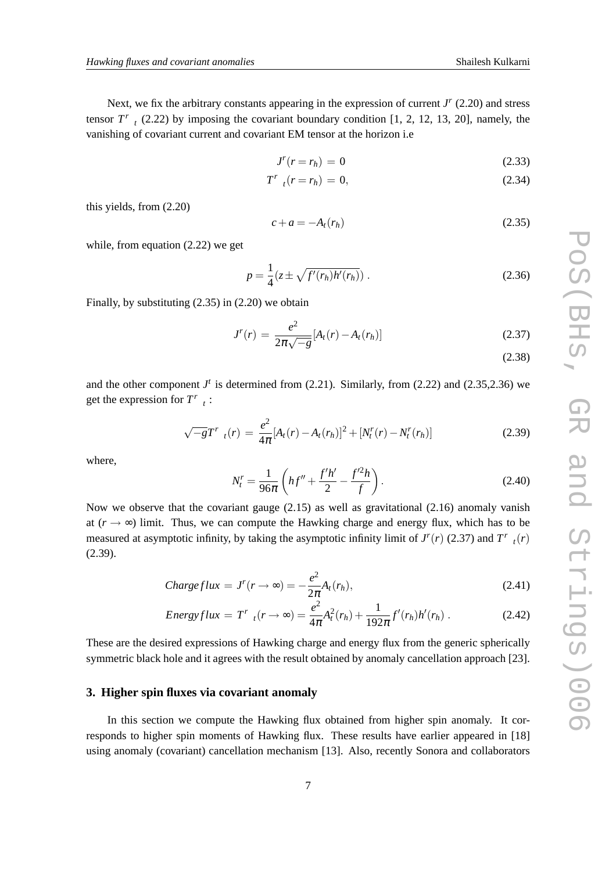Next, we fix the arbitrary constants appearing in the expression of current *J r* (2.20) and stress tensor  $T^r$ , (2.22) by imposing the covariant boundary condition [1, 2, 12, 13, 20], namely, the vanishing of covariant current and covariant EM tensor at the horizon i.e

$$
J^r(r=r_h) = 0 \tag{2.33}
$$

$$
T^{r}{}_{t}(r=r_{h})=0, \qquad (2.34)
$$

this yields, from (2.20)

$$
c + a = -A_t(r_h) \tag{2.35}
$$

while, from equation (2.22) we get

$$
p = \frac{1}{4} (z \pm \sqrt{f'(r_h)h'(r_h)}) .
$$
 (2.36)

Finally, by substituting (2.35) in (2.20) we obtain

$$
J^{r}(r) = \frac{e^{2}}{2\pi\sqrt{-g}}[A_{t}(r) - A_{t}(r_{h})]
$$
\n(2.37)

(2.38)

and the other component  $J<sup>t</sup>$  is determined from (2.21). Similarly, from (2.22) and (2.35,2.36) we get the expression for  $T^r_{t}$ :

$$
\sqrt{-g}T^{r}{}_{t}(r) = \frac{e^{2}}{4\pi}[A_{t}(r) - A_{t}(r_{h})]^{2} + [N_{t}^{r}(r) - N_{t}^{r}(r_{h})]
$$
\n(2.39)

where,

$$
N_t^r = \frac{1}{96\pi} \left( hf'' + \frac{f'h'}{2} - \frac{f'^2 h}{f} \right).
$$
 (2.40)

Now we observe that the covariant gauge  $(2.15)$  as well as gravitational  $(2.16)$  anomaly vanish at  $(r \rightarrow \infty)$  limit. Thus, we can compute the Hawking charge and energy flux, which has to be measured at asymptotic infinity, by taking the asymptotic infinity limit of  $J^r(r)$  (2.37) and  $T^r$ <sub>t</sub> $(r)$ (2.39).

$$
Chargeflux = J^{r}(r \to \infty) = -\frac{e^{2}}{2\pi}A_{t}(r_{h}),
$$
\n(2.41)

Energyflux = 
$$
T^r
$$
<sub>t</sub> $(r \to \infty)$  =  $\frac{e^2}{4\pi} A_t^2(r_h) + \frac{1}{192\pi} f'(r_h) h'(r_h)$ . (2.42)

These are the desired expressions of Hawking charge and energy flux from the generic spherically symmetric black hole and it agrees with the result obtained by anomaly cancellation approach [23].

#### **3. Higher spin fluxes via covariant anomaly**

In this section we compute the Hawking flux obtained from higher spin anomaly. It corresponds to higher spin moments of Hawking flux. These results have earlier appeared in [18] using anomaly (covariant) cancellation mechanism [13]. Also, recently Sonora and collaborators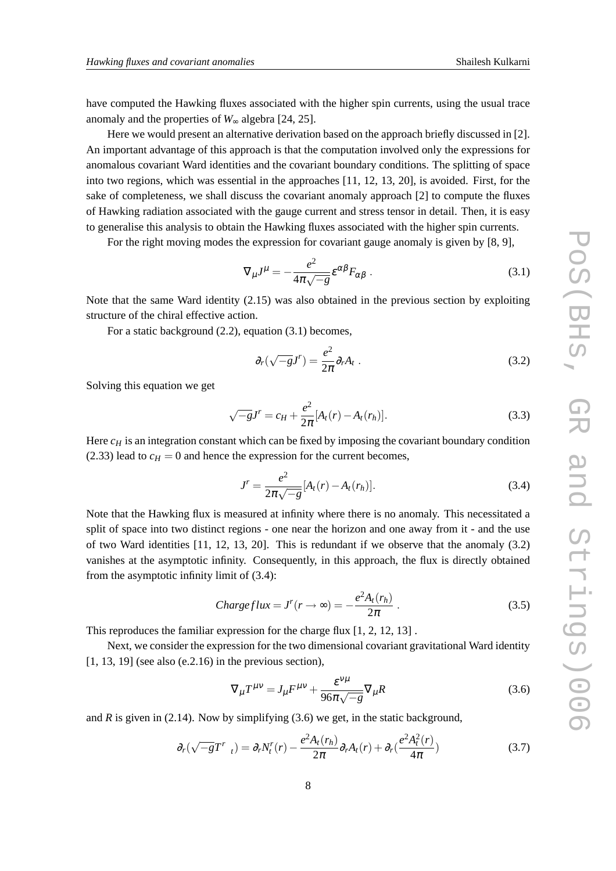have computed the Hawking fluxes associated with the higher spin currents, using the usual trace anomaly and the properties of  $W_{\infty}$  algebra [24, 25].

Here we would present an alternative derivation based on the approach briefly discussed in [2]. An important advantage of this approach is that the computation involved only the expressions for anomalous covariant Ward identities and the covariant boundary conditions. The splitting of space into two regions, which was essential in the approaches [11, 12, 13, 20], is avoided. First, for the sake of completeness, we shall discuss the covariant anomaly approach [2] to compute the fluxes of Hawking radiation associated with the gauge current and stress tensor in detail. Then, it is easy to generalise this analysis to obtain the Hawking fluxes associated with the higher spin currents.

For the right moving modes the expression for covariant gauge anomaly is given by [8, 9],

$$
\nabla_{\mu}J^{\mu} = -\frac{e^2}{4\pi\sqrt{-g}}\varepsilon^{\alpha\beta}F_{\alpha\beta}.
$$
 (3.1)

Note that the same Ward identity (2.15) was also obtained in the previous section by exploiting structure of the chiral effective action.

For a static background (2.2), equation (3.1) becomes,

$$
\partial_r(\sqrt{-g}J^r) = \frac{e^2}{2\pi}\partial_r A_t \ . \tag{3.2}
$$

Solving this equation we get

$$
\sqrt{-g}J' = c_H + \frac{e^2}{2\pi} [A_t(r) - A_t(r_h)].
$$
\n(3.3)

Here  $c_H$  is an integration constant which can be fixed by imposing the covariant boundary condition (2.33) lead to  $c_H = 0$  and hence the expression for the current becomes,

$$
J^{r} = \frac{e^{2}}{2\pi\sqrt{-g}} [A_{t}(r) - A_{t}(r_{h})].
$$
\n(3.4)

Note that the Hawking flux is measured at infinity where there is no anomaly. This necessitated a split of space into two distinct regions - one near the horizon and one away from it - and the use of two Ward identities [11, 12, 13, 20]. This is redundant if we observe that the anomaly (3.2) vanishes at the asymptotic infinity. Consequently, in this approach, the flux is directly obtained from the asymptotic infinity limit of (3.4):

$$
Chargeflux = J^{r}(r \to \infty) = -\frac{e^{2}A_{t}(r_{h})}{2\pi}.
$$
\n(3.5)

This reproduces the familiar expression for the charge flux [1, 2, 12, 13] .

Next, we consider the expression for the two dimensional covariant gravitational Ward identity [1, 13, 19] (see also (e.2.16) in the previous section),

$$
\nabla_{\mu}T^{\mu\nu} = J_{\mu}F^{\mu\nu} + \frac{\varepsilon^{\nu\mu}}{96\pi\sqrt{-g}}\nabla_{\mu}R\tag{3.6}
$$

and  $R$  is given in (2.14). Now by simplifying (3.6) we get, in the static background,

$$
\partial_r(\sqrt{-g}T^r_{t}) = \partial_r N_t^r(r) - \frac{e^2 A_t(r_h)}{2\pi} \partial_r A_t(r) + \partial_r(\frac{e^2 A_t^2(r)}{4\pi})
$$
(3.7)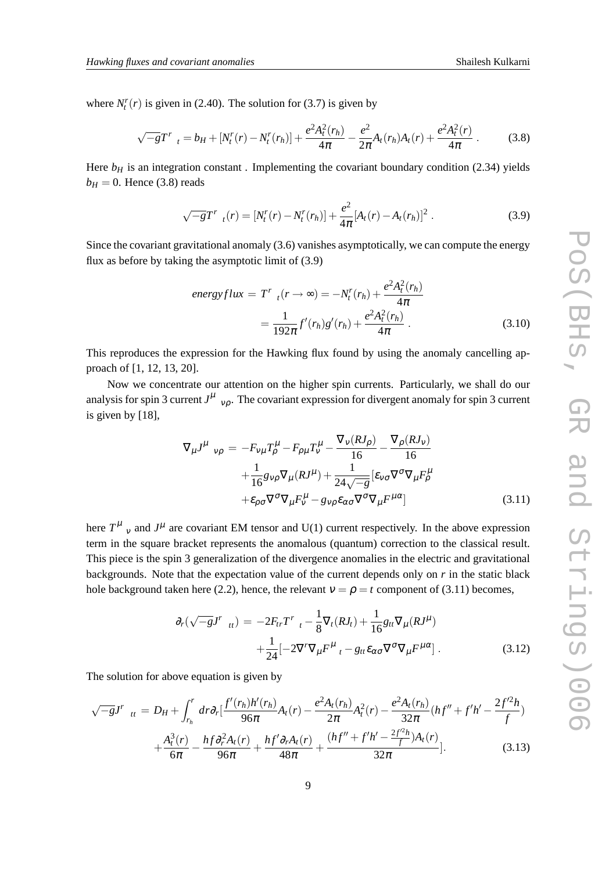where  $N_t^r(r)$  is given in (2.40). The solution for (3.7) is given by

$$
\sqrt{-g}T^{r}{}_{t}=b_{H}+[N_{t}^{r}(r)-N_{t}^{r}(r_{h})]+\frac{e^{2}A_{t}^{2}(r_{h})}{4\pi}-\frac{e^{2}}{2\pi}A_{t}(r_{h})A_{t}(r)+\frac{e^{2}A_{t}^{2}(r)}{4\pi}.
$$
 (3.8)

Here  $b_H$  is an integration constant. Implementing the covariant boundary condition (2.34) yields  $b_H = 0$ . Hence (3.8) reads

$$
\sqrt{-g}T^{r}{}_{t}(r)=[N_{t}^{r}(r)-N_{t}^{r}(r_{h})]+\frac{e^{2}}{4\pi}[A_{t}(r)-A_{t}(r_{h})]^{2}.
$$
\n(3.9)

Since the covariant gravitational anomaly (3.6) vanishes asymptotically, we can compute the energy flux as before by taking the asymptotic limit of (3.9)

$$
energyflux = T'_{t}(r \to \infty) = -N'_{t}(r_{h}) + \frac{e^{2}A^{2}_{t}(r_{h})}{4\pi}
$$

$$
= \frac{1}{192\pi}f'(r_{h})g'(r_{h}) + \frac{e^{2}A^{2}_{t}(r_{h})}{4\pi}.
$$
(3.10)

This reproduces the expression for the Hawking flux found by using the anomaly cancelling approach of [1, 12, 13, 20].

Now we concentrate our attention on the higher spin currents. Particularly, we shall do our analysis for spin 3 current  $J^{\mu}$ <sub>v $\rho$ </sub>. The covariant expression for divergent anomaly for spin 3 current is given by [18],

$$
\nabla_{\mu} J^{\mu}{}_{\nu\rho} = -F_{\nu\mu} T^{\mu}_{\rho} - F_{\rho\mu} T^{\mu}_{\nu} - \frac{\nabla_{\nu} (R J_{\rho})}{16} - \frac{\nabla_{\rho} (R J_{\nu})}{16} \n+ \frac{1}{16} g_{\nu\rho} \nabla_{\mu} (R J^{\mu}) + \frac{1}{24 \sqrt{-g}} \left[ \varepsilon_{\nu\sigma} \nabla^{\sigma} \nabla_{\mu} F^{\mu}_{\rho} \n+ \varepsilon_{\rho\sigma} \nabla^{\sigma} \nabla_{\mu} F^{\mu}_{\nu} - g_{\nu\rho} \varepsilon_{\alpha\sigma} \nabla^{\sigma} \nabla_{\mu} F^{\mu\alpha} \right]
$$
\n(3.11)

here  $T^{\mu}$  <sub>v</sub> and  $J^{\mu}$  are covariant EM tensor and U(1) current respectively. In the above expression term in the square bracket represents the anomalous (quantum) correction to the classical result. This piece is the spin 3 generalization of the divergence anomalies in the electric and gravitational backgrounds. Note that the expectation value of the current depends only on *r* in the static black hole background taken here (2.2), hence, the relevant  $v = \rho = t$  component of (3.11) becomes,

$$
\partial_r(\sqrt{-g}J^r{}_{tt}) = -2F_{tr}T^r{}_{t} - \frac{1}{8}\nabla_t(RJ_t) + \frac{1}{16}g_{tt}\nabla_\mu(RJ^\mu) \n+ \frac{1}{24}[-2\nabla^r\nabla_\mu F^\mu{}_{t} - g_{tt}\varepsilon_{\alpha\sigma}\nabla^\sigma\nabla_\mu F^{\mu\alpha}].
$$
\n(3.12)

The solution for above equation is given by

$$
\sqrt{-g}J^{r}{}_{tt} = D_{H} + \int_{r_{h}}^{r} dr \partial_{r} \left[ \frac{f'(r_{h})h'(r_{h})}{96\pi} A_{t}(r) - \frac{e^{2}A_{t}(r_{h})}{2\pi} A_{t}^{2}(r) - \frac{e^{2}A_{t}(r_{h})}{32\pi} (hf'' + f'h' - \frac{2f'^{2}h}{f}) + \frac{A_{t}^{3}(r)}{6\pi} - \frac{hf \partial_{r}^{2}A_{t}(r)}{96\pi} + \frac{hf' \partial_{r}A_{t}(r)}{48\pi} + \frac{(hf'' + f'h' - \frac{2f'^{2}h}{f})A_{t}(r)}{32\pi} \right].
$$
 (3.13)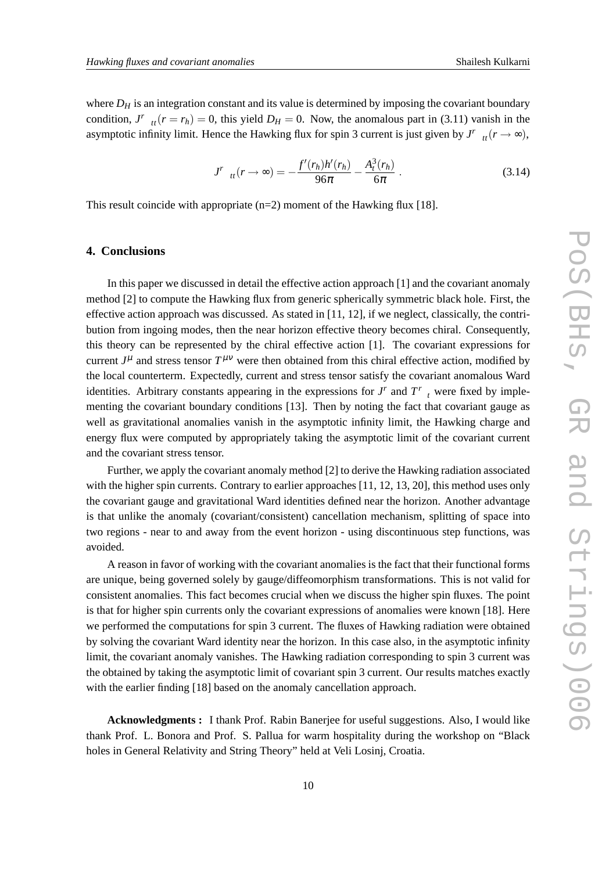where  $D_H$  is an integration constant and its value is determined by imposing the covariant boundary condition, *J<sup>r</sup>*  $_{tt}(r = r_h) = 0$ , this yield  $D_H = 0$ . Now, the anomalous part in (3.11) vanish in the asymptotic infinity limit. Hence the Hawking flux for spin 3 current is just given by  $J^r$ <sub>*tt*</sub>( $r \rightarrow \infty$ ),

$$
J'_{tt}(r \to \infty) = -\frac{f'(r_h)h'(r_h)}{96\pi} - \frac{A_t^3(r_h)}{6\pi}.
$$
 (3.14)

This result coincide with appropriate  $(n=2)$  moment of the Hawking flux [18].

#### **4. Conclusions**

In this paper we discussed in detail the effective action approach [1] and the covariant anomaly method [2] to compute the Hawking flux from generic spherically symmetric black hole. First, the effective action approach was discussed. As stated in [11, 12], if we neglect, classically, the contribution from ingoing modes, then the near horizon effective theory becomes chiral. Consequently, this theory can be represented by the chiral effective action [1]. The covariant expressions for current  $J^{\mu}$  and stress tensor  $T^{\mu\nu}$  were then obtained from this chiral effective action, modified by the local counterterm. Expectedly, current and stress tensor satisfy the covariant anomalous Ward identities. Arbitrary constants appearing in the expressions for  $J^r$  and  $T^r$ , were fixed by implementing the covariant boundary conditions [13]. Then by noting the fact that covariant gauge as well as gravitational anomalies vanish in the asymptotic infinity limit, the Hawking charge and energy flux were computed by appropriately taking the asymptotic limit of the covariant current and the covariant stress tensor.

Further, we apply the covariant anomaly method [2] to derive the Hawking radiation associated with the higher spin currents. Contrary to earlier approaches [11, 12, 13, 20], this method uses only the covariant gauge and gravitational Ward identities defined near the horizon. Another advantage is that unlike the anomaly (covariant/consistent) cancellation mechanism, splitting of space into two regions - near to and away from the event horizon - using discontinuous step functions, was avoided.

A reason in favor of working with the covariant anomalies is the fact that their functional forms are unique, being governed solely by gauge/diffeomorphism transformations. This is not valid for consistent anomalies. This fact becomes crucial when we discuss the higher spin fluxes. The point is that for higher spin currents only the covariant expressions of anomalies were known [18]. Here we performed the computations for spin 3 current. The fluxes of Hawking radiation were obtained by solving the covariant Ward identity near the horizon. In this case also, in the asymptotic infinity limit, the covariant anomaly vanishes. The Hawking radiation corresponding to spin 3 current was the obtained by taking the asymptotic limit of covariant spin 3 current. Our results matches exactly with the earlier finding [18] based on the anomaly cancellation approach.

**Acknowledgments :** I thank Prof. Rabin Banerjee for useful suggestions. Also, I would like thank Prof. L. Bonora and Prof. S. Pallua for warm hospitality during the workshop on "Black holes in General Relativity and String Theory" held at Veli Losinj, Croatia.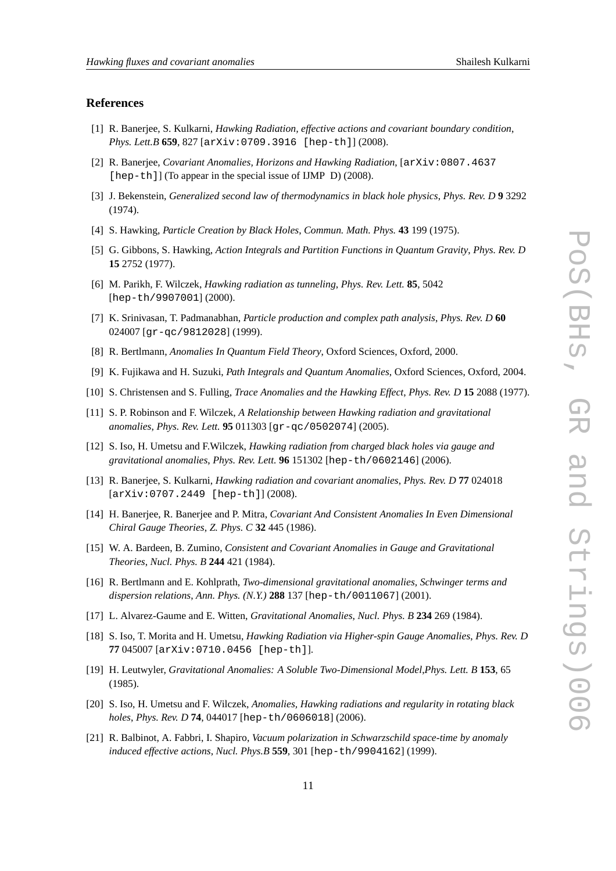#### **References**

- [1] R. Banerjee, S. Kulkarni, *Hawking Radiation, effective actions and covariant boundary condition*, *Phys. Lett.B* **659**, 827 [arXiv:0709.3916 [hep-th]] (2008).
- [2] R. Banerjee, *Covariant Anomalies, Horizons and Hawking Radiation*, [arXiv:0807.4637 [hep-th]] (To appear in the special issue of IJMP D) (2008).
- [3] J. Bekenstein, *Generalized second law of thermodynamics in black hole physics*, *Phys. Rev. D* **9** 3292 (1974).
- [4] S. Hawking, *Particle Creation by Black Holes*, *Commun. Math. Phys.* **43** 199 (1975).
- [5] G. Gibbons, S. Hawking, *Action Integrals and Partition Functions in Quantum Gravity*, *Phys. Rev. D* **15** 2752 (1977).
- [6] M. Parikh, F. Wilczek, *Hawking radiation as tunneling*, *Phys. Rev. Lett.* **85**, 5042 [hep-th/9907001] (2000).
- [7] K. Srinivasan, T. Padmanabhan, *Particle production and complex path analysis*, *Phys. Rev. D* **60** 024007 [gr-qc/9812028] (1999).
- [8] R. Bertlmann, *Anomalies In Quantum Field Theory*, Oxford Sciences, Oxford, 2000.
- [9] K. Fujikawa and H. Suzuki, *Path Integrals and Quantum Anomalies*, Oxford Sciences, Oxford, 2004.
- [10] S. Christensen and S. Fulling, *Trace Anomalies and the Hawking Effect*, *Phys. Rev. D* **15** 2088 (1977).
- [11] S. P. Robinson and F. Wilczek, *A Relationship between Hawking radiation and gravitational anomalies*, *Phys. Rev. Lett.* **95** 011303 [gr-qc/0502074] (2005).
- [12] S. Iso, H. Umetsu and F.Wilczek, *Hawking radiation from charged black holes via gauge and gravitational anomalies*, *Phys. Rev. Lett.* **96** 151302 [hep-th/0602146] (2006).
- [13] R. Banerjee, S. Kulkarni, *Hawking radiation and covariant anomalies*, *Phys. Rev. D* **77** 024018 [arXiv:0707.2449 [hep-th]] (2008).
- [14] H. Banerjee, R. Banerjee and P. Mitra, *Covariant And Consistent Anomalies In Even Dimensional Chiral Gauge Theories*, *Z. Phys. C* **32** 445 (1986).
- [15] W. A. Bardeen, B. Zumino, *Consistent and Covariant Anomalies in Gauge and Gravitational Theories*, *Nucl. Phys. B* **244** 421 (1984).
- [16] R. Bertlmann and E. Kohlprath, *Two-dimensional gravitational anomalies, Schwinger terms and dispersion relations*, *Ann. Phys. (N.Y.)* **288** 137 [hep-th/0011067] (2001).
- [17] L. Alvarez-Gaume and E. Witten, *Gravitational Anomalies*, *Nucl. Phys. B* **234** 269 (1984).
- [18] S. Iso, T. Morita and H. Umetsu, *Hawking Radiation via Higher-spin Gauge Anomalies*, *Phys. Rev. D* **77** 045007 [arXiv:0710.0456 [hep-th]].
- [19] H. Leutwyler, *Gravitational Anomalies: A Soluble Two-Dimensional Model*,*Phys. Lett. B* **153**, 65 (1985).
- [20] S. Iso, H. Umetsu and F. Wilczek, *Anomalies, Hawking radiations and regularity in rotating black holes*, *Phys. Rev. D* **74**, 044017 [hep-th/0606018] (2006).
- [21] R. Balbinot, A. Fabbri, I. Shapiro, *Vacuum polarization in Schwarzschild space-time by anomaly induced effective actions*, *Nucl. Phys.B* **559**, 301 [hep-th/9904162] (1999).